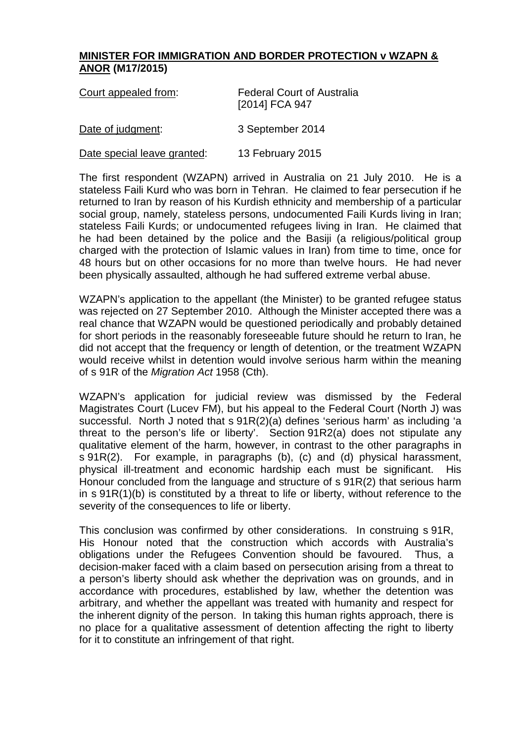## **MINISTER FOR IMMIGRATION AND BORDER PROTECTION v WZAPN & ANOR (M17/2015)**

| Court appealed from:        | <b>Federal Court of Australia</b><br>[2014] FCA 947 |
|-----------------------------|-----------------------------------------------------|
| Date of judgment:           | 3 September 2014                                    |
| Date special leave granted: | 13 February 2015                                    |

The first respondent (WZAPN) arrived in Australia on 21 July 2010. He is a stateless Faili Kurd who was born in Tehran. He claimed to fear persecution if he returned to Iran by reason of his Kurdish ethnicity and membership of a particular social group, namely, stateless persons, undocumented Faili Kurds living in Iran; stateless Faili Kurds; or undocumented refugees living in Iran. He claimed that he had been detained by the police and the Basiji (a religious/political group charged with the protection of Islamic values in Iran) from time to time, once for 48 hours but on other occasions for no more than twelve hours. He had never been physically assaulted, although he had suffered extreme verbal abuse.

WZAPN's application to the appellant (the Minister) to be granted refugee status was rejected on 27 September 2010. Although the Minister accepted there was a real chance that WZAPN would be questioned periodically and probably detained for short periods in the reasonably foreseeable future should he return to Iran, he did not accept that the frequency or length of detention, or the treatment WZAPN would receive whilst in detention would involve serious harm within the meaning of s 91R of the *Migration Act* 1958 (Cth).

WZAPN's application for judicial review was dismissed by the Federal Magistrates Court (Lucev FM), but his appeal to the Federal Court (North J) was successful. North J noted that s 91R(2)(a) defines 'serious harm' as including 'a threat to the person's life or liberty'. Section 91R2(a) does not stipulate any qualitative element of the harm, however, in contrast to the other paragraphs in s 91R(2). For example, in paragraphs (b), (c) and (d) physical harassment, physical ill-treatment and economic hardship each must be significant. His Honour concluded from the language and structure of s 91R(2) that serious harm in s 91R(1)(b) is constituted by a threat to life or liberty, without reference to the severity of the consequences to life or liberty.

This conclusion was confirmed by other considerations. In construing s 91R, His Honour noted that the construction which accords with Australia's obligations under the Refugees Convention should be favoured. Thus, a decision-maker faced with a claim based on persecution arising from a threat to a person's liberty should ask whether the deprivation was on grounds, and in accordance with procedures, established by law, whether the detention was arbitrary, and whether the appellant was treated with humanity and respect for the inherent dignity of the person. In taking this human rights approach, there is no place for a qualitative assessment of detention affecting the right to liberty for it to constitute an infringement of that right.